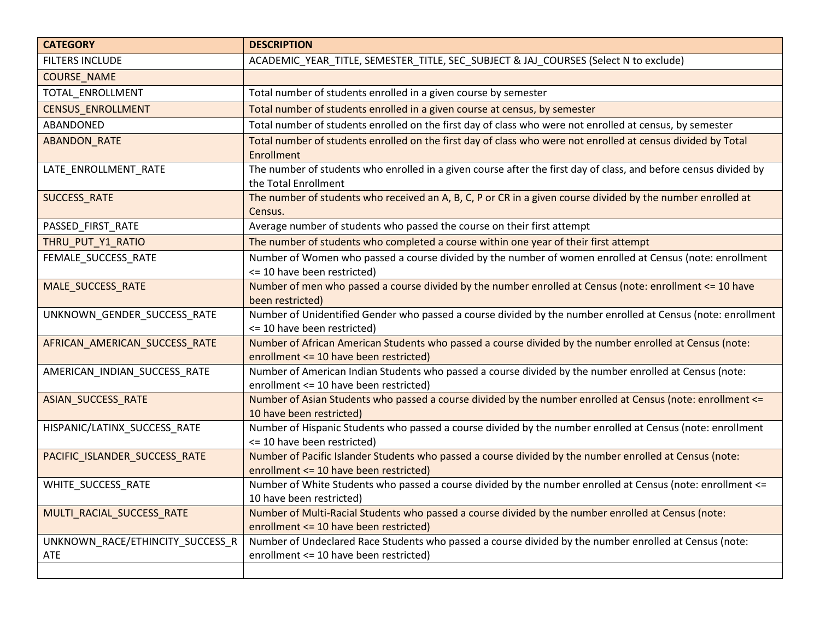| <b>CATEGORY</b>                         | <b>DESCRIPTION</b>                                                                                                                                |
|-----------------------------------------|---------------------------------------------------------------------------------------------------------------------------------------------------|
| <b>FILTERS INCLUDE</b>                  | ACADEMIC_YEAR_TITLE, SEMESTER_TITLE, SEC_SUBJECT & JAJ_COURSES (Select N to exclude)                                                              |
| <b>COURSE_NAME</b>                      |                                                                                                                                                   |
| TOTAL_ENROLLMENT                        | Total number of students enrolled in a given course by semester                                                                                   |
| <b>CENSUS ENROLLMENT</b>                | Total number of students enrolled in a given course at census, by semester                                                                        |
| ABANDONED                               | Total number of students enrolled on the first day of class who were not enrolled at census, by semester                                          |
| ABANDON_RATE                            | Total number of students enrolled on the first day of class who were not enrolled at census divided by Total<br>Enrollment                        |
| LATE_ENROLLMENT_RATE                    | The number of students who enrolled in a given course after the first day of class, and before census divided by<br>the Total Enrollment          |
| SUCCESS_RATE                            | The number of students who received an A, B, C, P or CR in a given course divided by the number enrolled at<br>Census.                            |
| PASSED FIRST RATE                       | Average number of students who passed the course on their first attempt                                                                           |
| THRU_PUT_Y1_RATIO                       | The number of students who completed a course within one year of their first attempt                                                              |
| FEMALE_SUCCESS_RATE                     | Number of Women who passed a course divided by the number of women enrolled at Census (note: enrollment<br><= 10 have been restricted)            |
| MALE_SUCCESS_RATE                       | Number of men who passed a course divided by the number enrolled at Census (note: enrollment <= 10 have<br>been restricted)                       |
| UNKNOWN_GENDER_SUCCESS_RATE             | Number of Unidentified Gender who passed a course divided by the number enrolled at Census (note: enrollment<br><= 10 have been restricted)       |
| AFRICAN_AMERICAN_SUCCESS_RATE           | Number of African American Students who passed a course divided by the number enrolled at Census (note:<br>enrollment <= 10 have been restricted) |
| AMERICAN_INDIAN_SUCCESS_RATE            | Number of American Indian Students who passed a course divided by the number enrolled at Census (note:<br>enrollment <= 10 have been restricted)  |
| ASIAN_SUCCESS_RATE                      | Number of Asian Students who passed a course divided by the number enrolled at Census (note: enrollment <=<br>10 have been restricted)            |
| HISPANIC/LATINX_SUCCESS_RATE            | Number of Hispanic Students who passed a course divided by the number enrolled at Census (note: enrollment<br><= 10 have been restricted)         |
| PACIFIC_ISLANDER_SUCCESS_RATE           | Number of Pacific Islander Students who passed a course divided by the number enrolled at Census (note:<br>enrollment <= 10 have been restricted) |
| WHITE_SUCCESS_RATE                      | Number of White Students who passed a course divided by the number enrolled at Census (note: enrollment <=<br>10 have been restricted)            |
| MULTI_RACIAL_SUCCESS_RATE               | Number of Multi-Racial Students who passed a course divided by the number enrolled at Census (note:<br>enrollment <= 10 have been restricted)     |
| UNKNOWN_RACE/ETHINCITY_SUCCESS_R<br>ATE | Number of Undeclared Race Students who passed a course divided by the number enrolled at Census (note:<br>enrollment <= 10 have been restricted)  |
|                                         |                                                                                                                                                   |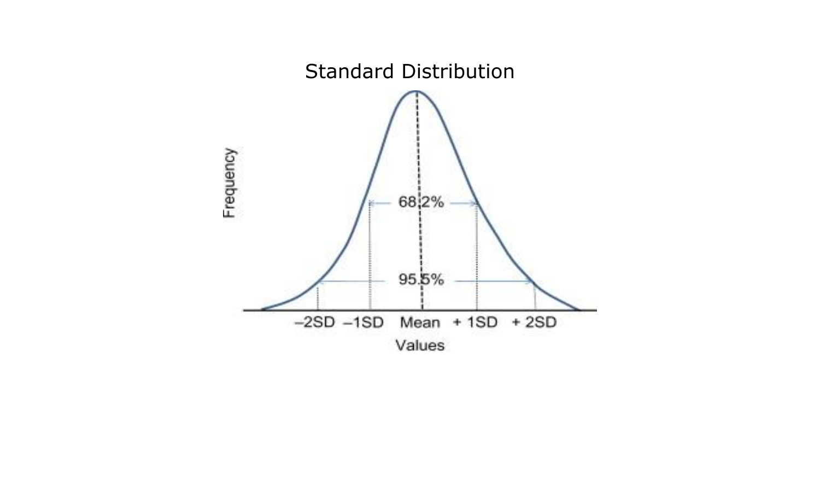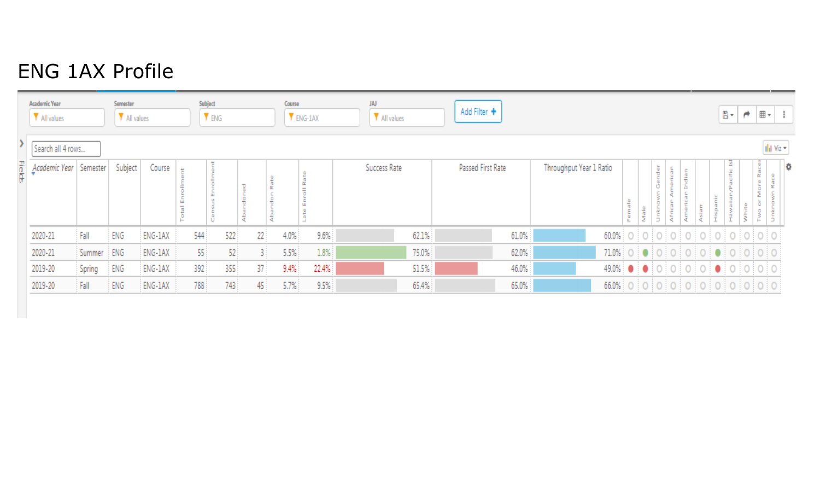## ENG 1AX Profile

| Academic Year<br>Subject<br>Semester<br>Y ENG<br>All values<br>All values |          |         |         |  |     |     |  | JAJ<br>Course<br>Add Filter +<br>All values<br>$Y$ ENG-1AX |      |       |              |       |                   |                         |  |       |           |       | 팀 -    | $\rightarrow$ | $\mathbb{B}$ + $\mathbb{B}$ |                                                        |                            |   |
|---------------------------------------------------------------------------|----------|---------|---------|--|-----|-----|--|------------------------------------------------------------|------|-------|--------------|-------|-------------------|-------------------------|--|-------|-----------|-------|--------|---------------|-----------------------------|--------------------------------------------------------|----------------------------|---|
| Search all 4 rows                                                         |          |         |         |  |     |     |  |                                                            |      |       |              |       |                   |                         |  |       |           |       |        |               |                             |                                                        | $  $ <sub>il</sub> Viz $+$ |   |
| Academic Year                                                             | Semester | Subject | Course  |  |     |     |  |                                                            |      |       | Success Rate |       | Passed First Rate | Throughput Year 1 Ratio |  | Ť     | ider<br>5 |       | å<br>e |               | <b>M</b><br>$\frac{M}{6}$   | ă<br>g.<br><b>ALC</b>                                  |                            | Ð |
| 2020-21                                                                   | Fall     | ENG     | ENG-1AX |  | 544 | 522 |  | 22 <sup>1</sup>                                            | 4.0% | 9.6%  |              | 62.1% | 61.0%             |                         |  |       |           |       |        |               |                             | 60.0% 0 0 0 0 0 0 0 0 0 0 0 0 0 0                      |                            |   |
| 2020-21                                                                   | Summer   | ENG     | ENG-1AX |  | 55  | 52  |  |                                                            | 5.5% | 1.8%  |              | 75.0% | 62.0%             | 71.0%                   |  | $O$ 0 |           | 00000 |        |               |                             | $\begin{array}{c} \circ \\ \circ \\ \circ \end{array}$ |                            |   |
| 2019-20                                                                   | Spring   | ENG     | ENG-1AX |  | 392 | 355 |  | 37                                                         | 9.4% | 22.4% |              | 51.5% | 46.0%             |                         |  |       |           |       |        |               |                             |                                                        |                            |   |
| 2019-20                                                                   | Fall     | ENG     | ENG-1AX |  | 788 | 743 |  | 45                                                         | 5.7% | 9.5%  |              | 65.4% | 65.0%             |                         |  |       |           |       |        |               |                             |                                                        |                            |   |